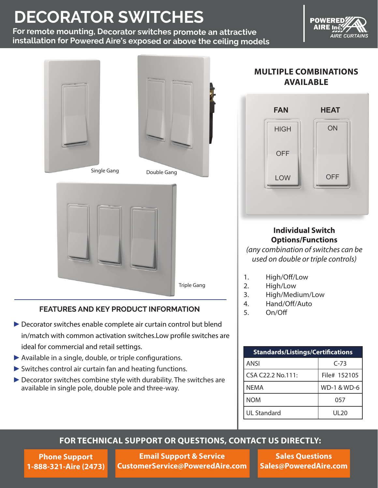# **DECORATOR SWITCHES**

**For remote mounting, Decorator switches promote an attractive installation for Powered Aire's exposed or above the ceiling models**

**POWERED** AIRE Inc

**AIRE CURTAINS** 







#### **FEATURES AND KEY PRODUCT INFORMATION**

- ▶ Decorator switches enable complete air curtain control but blend in/match with common activation switches.Low profile switches are ideal for commercial and retail settings.
- ►Available in a single, double, or triple configurations.
- ► Switches control air curtain fan and heating functions.
- ▶ Decorator switches combine style with durability. The switches are available in single pole, double pole and three-way.

## **MULTIPLE COMBINATIONS AVAILABLE**



#### **Individual Switch Options/Functions**

*(any combination of switches can be used on double or triple controls)*

- 1. High/Off/Low
- 2. High/Low
- 3. High/Medium/Low
- 4. Hand/Off/Auto
- 5. On/Off

| <b>Standards/Listings/Certifications</b> |              |  |
|------------------------------------------|--------------|--|
| ANSI                                     | $C-73$       |  |
| CSA C22.2 No.111:                        | File# 152105 |  |
| <b>NEMA</b>                              | WD-1 & WD-6  |  |
| <b>NOM</b>                               | 057          |  |
| <b>UL Standard</b>                       | UL 20        |  |

### **FOR TECHNICAL SUPPORT OR QUESTIONS, CONTACT US DIRECTLY:**

**Phone Support 1-888-321-Aire (2473)**

**Email Support & Service CustomerService@PoweredAire.com**

**Sales Questions Sales@PoweredAire.com**